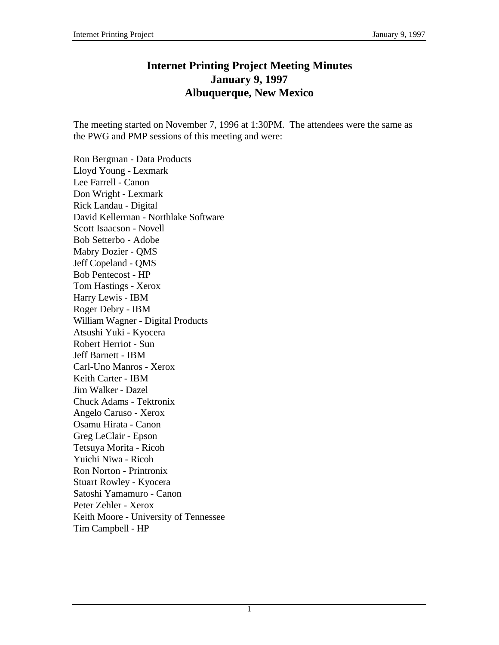## **Internet Printing Project Meeting Minutes January 9, 1997 Albuquerque, New Mexico**

The meeting started on November 7, 1996 at 1:30PM. The attendees were the same as the PWG and PMP sessions of this meeting and were:

Ron Bergman - Data Products Lloyd Young - Lexmark Lee Farrell - Canon Don Wright - Lexmark Rick Landau - Digital David Kellerman - Northlake Software Scott Isaacson - Novell Bob Setterbo - Adobe Mabry Dozier - QMS Jeff Copeland - QMS Bob Pentecost - HP Tom Hastings - Xerox Harry Lewis - IBM Roger Debry - IBM William Wagner - Digital Products Atsushi Yuki - Kyocera Robert Herriot - Sun Jeff Barnett - IBM Carl-Uno Manros - Xerox Keith Carter - IBM Jim Walker - Dazel Chuck Adams - Tektronix Angelo Caruso - Xerox Osamu Hirata - Canon Greg LeClair - Epson Tetsuya Morita - Ricoh Yuichi Niwa - Ricoh Ron Norton - Printronix Stuart Rowley - Kyocera Satoshi Yamamuro - Canon Peter Zehler - Xerox Keith Moore - University of Tennessee Tim Campbell - HP

1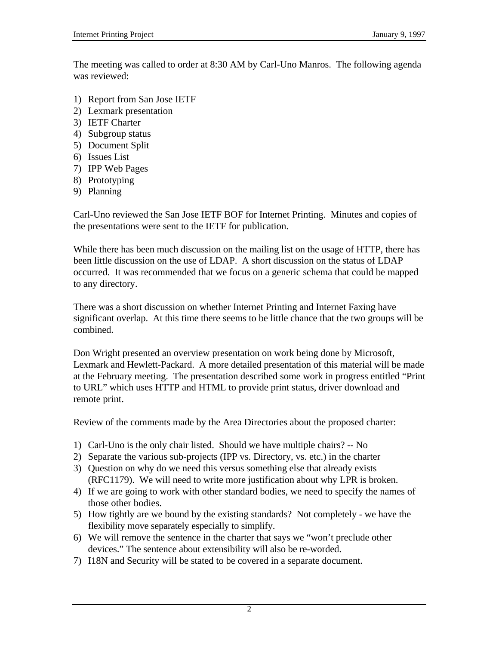The meeting was called to order at 8:30 AM by Carl-Uno Manros. The following agenda was reviewed:

- 1) Report from San Jose IETF
- 2) Lexmark presentation
- 3) IETF Charter
- 4) Subgroup status
- 5) Document Split
- 6) Issues List
- 7) IPP Web Pages
- 8) Prototyping
- 9) Planning

Carl-Uno reviewed the San Jose IETF BOF for Internet Printing. Minutes and copies of the presentations were sent to the IETF for publication.

While there has been much discussion on the mailing list on the usage of HTTP, there has been little discussion on the use of LDAP. A short discussion on the status of LDAP occurred. It was recommended that we focus on a generic schema that could be mapped to any directory.

There was a short discussion on whether Internet Printing and Internet Faxing have significant overlap. At this time there seems to be little chance that the two groups will be combined.

Don Wright presented an overview presentation on work being done by Microsoft, Lexmark and Hewlett-Packard. A more detailed presentation of this material will be made at the February meeting. The presentation described some work in progress entitled "Print to URL" which uses HTTP and HTML to provide print status, driver download and remote print.

Review of the comments made by the Area Directories about the proposed charter:

- 1) Carl-Uno is the only chair listed. Should we have multiple chairs? -- No
- 2) Separate the various sub-projects (IPP vs. Directory, vs. etc.) in the charter
- 3) Question on why do we need this versus something else that already exists (RFC1179). We will need to write more justification about why LPR is broken.
- 4) If we are going to work with other standard bodies, we need to specify the names of those other bodies.
- 5) How tightly are we bound by the existing standards? Not completely we have the flexibility move separately especially to simplify.
- 6) We will remove the sentence in the charter that says we "won't preclude other devices." The sentence about extensibility will also be re-worded.
- 7) I18N and Security will be stated to be covered in a separate document.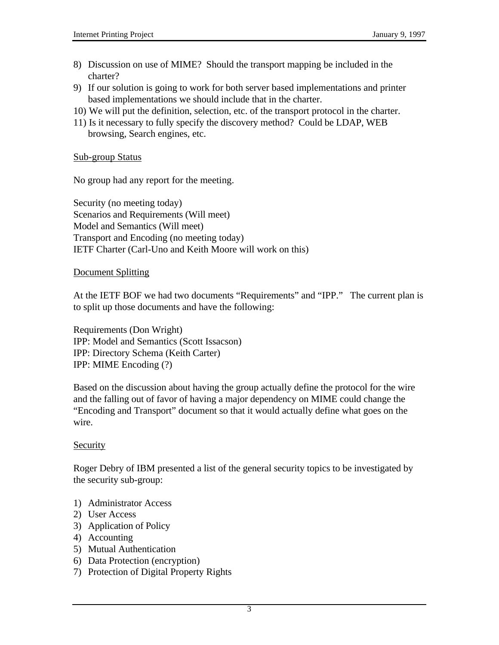- 8) Discussion on use of MIME? Should the transport mapping be included in the charter?
- 9) If our solution is going to work for both server based implementations and printer based implementations we should include that in the charter.
- 10) We will put the definition, selection, etc. of the transport protocol in the charter.
- 11) Is it necessary to fully specify the discovery method? Could be LDAP, WEB browsing, Search engines, etc.

### Sub-group Status

No group had any report for the meeting.

Security (no meeting today) Scenarios and Requirements (Will meet) Model and Semantics (Will meet) Transport and Encoding (no meeting today) IETF Charter (Carl-Uno and Keith Moore will work on this)

#### Document Splitting

At the IETF BOF we had two documents "Requirements" and "IPP." The current plan is to split up those documents and have the following:

Requirements (Don Wright) IPP: Model and Semantics (Scott Issacson) IPP: Directory Schema (Keith Carter) IPP: MIME Encoding (?)

Based on the discussion about having the group actually define the protocol for the wire and the falling out of favor of having a major dependency on MIME could change the "Encoding and Transport" document so that it would actually define what goes on the wire.

## **Security**

Roger Debry of IBM presented a list of the general security topics to be investigated by the security sub-group:

- 1) Administrator Access
- 2) User Access
- 3) Application of Policy
- 4) Accounting
- 5) Mutual Authentication
- 6) Data Protection (encryption)
- 7) Protection of Digital Property Rights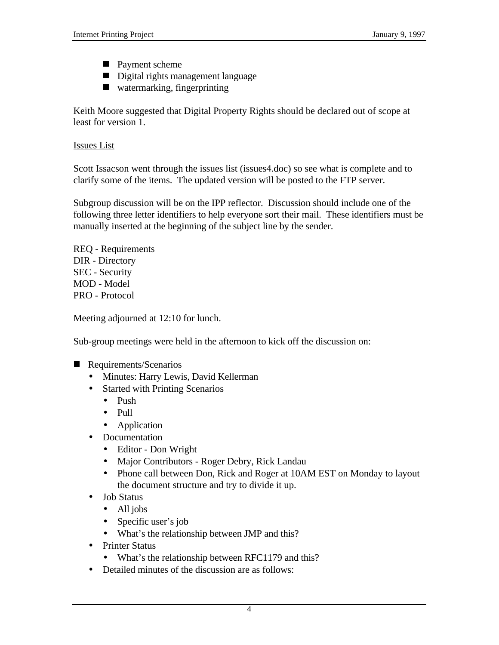- **Payment scheme**
- Digital rights management language
- $\blacksquare$  watermarking, fingerprinting

Keith Moore suggested that Digital Property Rights should be declared out of scope at least for version 1.

### Issues List

Scott Issacson went through the issues list (issues4.doc) so see what is complete and to clarify some of the items. The updated version will be posted to the FTP server.

Subgroup discussion will be on the IPP reflector. Discussion should include one of the following three letter identifiers to help everyone sort their mail. These identifiers must be manually inserted at the beginning of the subject line by the sender.

REQ - Requirements DIR - Directory SEC - Security MOD - Model PRO - Protocol

Meeting adjourned at 12:10 for lunch.

Sub-group meetings were held in the afternoon to kick off the discussion on:

- Requirements/Scenarios
	- Minutes: Harry Lewis, David Kellerman
	- Started with Printing Scenarios
		- Push
		- Pull
		- Application
	- Documentation
		- Editor Don Wright
		- Major Contributors Roger Debry, Rick Landau
		- Phone call between Don, Rick and Roger at 10AM EST on Monday to layout the document structure and try to divide it up.
	- Job Status
		- All jobs
		- Specific user's job
		- What's the relationship between JMP and this?
	- Printer Status
		- What's the relationship between RFC1179 and this?
	- Detailed minutes of the discussion are as follows: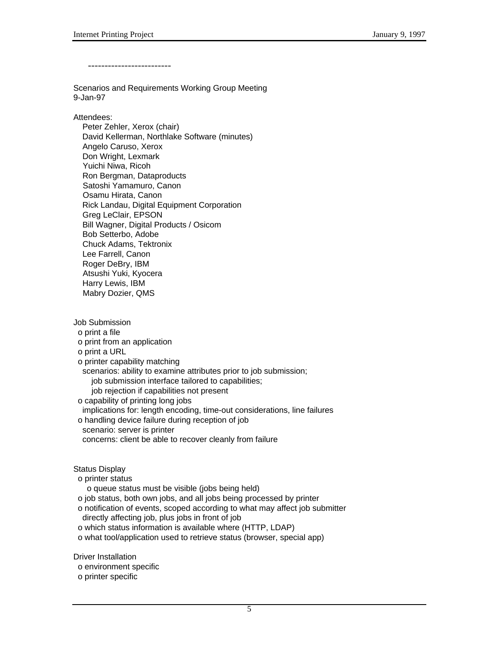-------------------------

Scenarios and Requirements Working Group Meeting 9-Jan-97

#### Attendees:

 Peter Zehler, Xerox (chair) David Kellerman, Northlake Software (minutes) Angelo Caruso, Xerox Don Wright, Lexmark Yuichi Niwa, Ricoh Ron Bergman, Dataproducts Satoshi Yamamuro, Canon Osamu Hirata, Canon Rick Landau, Digital Equipment Corporation Greg LeClair, EPSON Bill Wagner, Digital Products / Osicom Bob Setterbo, Adobe Chuck Adams, Tektronix Lee Farrell, Canon Roger DeBry, IBM Atsushi Yuki, Kyocera Harry Lewis, IBM Mabry Dozier, QMS

Job Submission o print a file o print from an application o print a URL o printer capability matching scenarios: ability to examine attributes prior to job submission; job submission interface tailored to capabilities; job rejection if capabilities not present o capability of printing long jobs implications for: length encoding, time-out considerations, line failures o handling device failure during reception of job scenario: server is printer concerns: client be able to recover cleanly from failure

#### Status Display

o printer status

o queue status must be visible (jobs being held)

o job status, both own jobs, and all jobs being processed by printer

 o notification of events, scoped according to what may affect job submitter directly affecting job, plus jobs in front of job

o which status information is available where (HTTP, LDAP)

o what tool/application used to retrieve status (browser, special app)

Driver Installation

o environment specific

o printer specific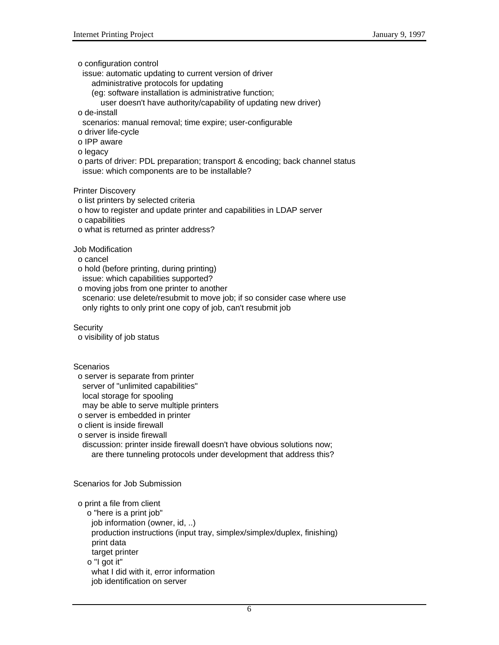o configuration control

issue: automatic updating to current version of driver

administrative protocols for updating

(eg: software installation is administrative function;

user doesn't have authority/capability of updating new driver)

o de-install

- scenarios: manual removal; time expire; user-configurable
- o driver life-cycle
- o IPP aware

o legacy

 o parts of driver: PDL preparation; transport & encoding; back channel status issue: which components are to be installable?

Printer Discovery

o list printers by selected criteria

o how to register and update printer and capabilities in LDAP server

o capabilities

o what is returned as printer address?

Job Modification

o cancel

 o hold (before printing, during printing) issue: which capabilities supported?

o moving jobs from one printer to another

 scenario: use delete/resubmit to move job; if so consider case where use only rights to only print one copy of job, can't resubmit job

**Security** 

o visibility of job status

**Scenarios** 

o server is separate from printer

server of "unlimited capabilities"

local storage for spooling

may be able to serve multiple printers

o server is embedded in printer

o client is inside firewall

o server is inside firewall

 discussion: printer inside firewall doesn't have obvious solutions now; are there tunneling protocols under development that address this?

Scenarios for Job Submission

o print a file from client

 o "here is a print job" job information (owner, id, ..) production instructions (input tray, simplex/simplex/duplex, finishing) print data target printer o "I got it" what I did with it, error information job identification on server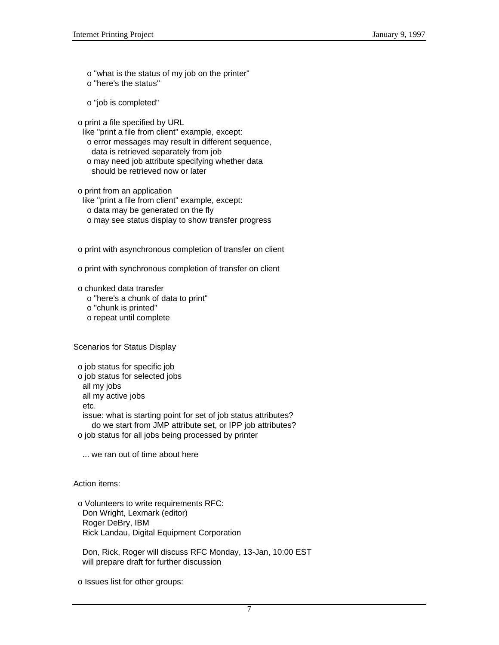o "what is the status of my job on the printer" o "here's the status"

o "job is completed"

o print a file specified by URL

 like "print a file from client" example, except: o error messages may result in different sequence, data is retrieved separately from job o may need job attribute specifying whether data should be retrieved now or later

o print from an application

 like "print a file from client" example, except: o data may be generated on the fly o may see status display to show transfer progress

o print with asynchronous completion of transfer on client

o print with synchronous completion of transfer on client

o chunked data transfer

o "here's a chunk of data to print"

o "chunk is printed"

o repeat until complete

Scenarios for Status Display

 o job status for specific job o job status for selected jobs all my jobs all my active jobs etc. issue: what is starting point for set of job status attributes? do we start from JMP attribute set, or IPP job attributes? o job status for all jobs being processed by printer

... we ran out of time about here

Action items:

 o Volunteers to write requirements RFC: Don Wright, Lexmark (editor) Roger DeBry, IBM Rick Landau, Digital Equipment Corporation

 Don, Rick, Roger will discuss RFC Monday, 13-Jan, 10:00 EST will prepare draft for further discussion

o Issues list for other groups: